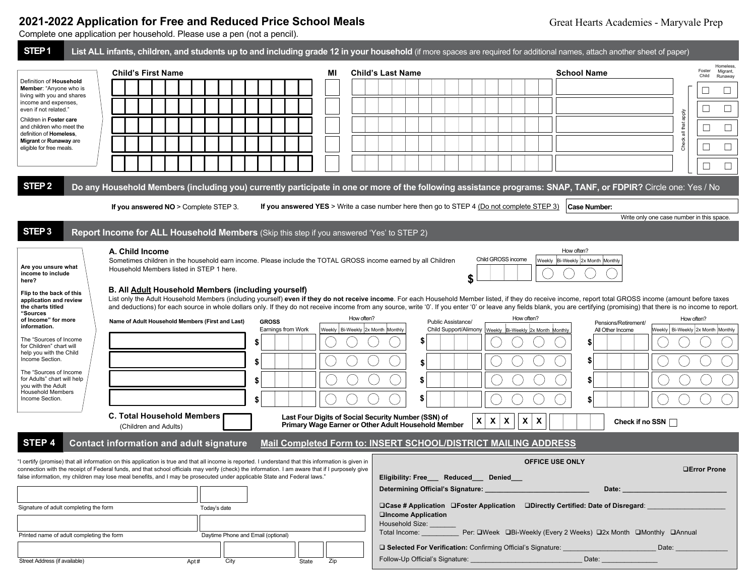# **2021-2022 Application for Free and Reduced Price School Meals**

Complete one application per household. Please use a pen (not a pencil).

| STEP <sub>1</sub>                                                                                                                                                                                                                                                                                                                                                                                                 |                                                                                                                                                                                                                                                                                                                                                                                                                                     |                                                                                                                                                                     |                                                                                                                                   | List ALL infants, children, and students up to and including grade 12 in your household (if more spaces are required for additional names, attach another sheet of paper)                                                                                                                                                                                                                                                                                                                                                                                                                                                                                                                                                         |                                                    |
|-------------------------------------------------------------------------------------------------------------------------------------------------------------------------------------------------------------------------------------------------------------------------------------------------------------------------------------------------------------------------------------------------------------------|-------------------------------------------------------------------------------------------------------------------------------------------------------------------------------------------------------------------------------------------------------------------------------------------------------------------------------------------------------------------------------------------------------------------------------------|---------------------------------------------------------------------------------------------------------------------------------------------------------------------|-----------------------------------------------------------------------------------------------------------------------------------|-----------------------------------------------------------------------------------------------------------------------------------------------------------------------------------------------------------------------------------------------------------------------------------------------------------------------------------------------------------------------------------------------------------------------------------------------------------------------------------------------------------------------------------------------------------------------------------------------------------------------------------------------------------------------------------------------------------------------------------|----------------------------------------------------|
| Definition of Household<br>Member: "Anyone who is<br>living with you and shares<br>income and expenses,<br>even if not related."                                                                                                                                                                                                                                                                                  | <b>Child's First Name</b>                                                                                                                                                                                                                                                                                                                                                                                                           | MI                                                                                                                                                                  | <b>Child's Last Name</b>                                                                                                          | <b>School Name</b>                                                                                                                                                                                                                                                                                                                                                                                                                                                                                                                                                                                                                                                                                                                | Homeless<br>Foster<br>Migrant,<br>Child<br>Runaway |
|                                                                                                                                                                                                                                                                                                                                                                                                                   |                                                                                                                                                                                                                                                                                                                                                                                                                                     |                                                                                                                                                                     |                                                                                                                                   |                                                                                                                                                                                                                                                                                                                                                                                                                                                                                                                                                                                                                                                                                                                                   | $\Box$                                             |
|                                                                                                                                                                                                                                                                                                                                                                                                                   |                                                                                                                                                                                                                                                                                                                                                                                                                                     |                                                                                                                                                                     |                                                                                                                                   |                                                                                                                                                                                                                                                                                                                                                                                                                                                                                                                                                                                                                                                                                                                                   | ⊔<br>$\Box$                                        |
| Children in Foster care                                                                                                                                                                                                                                                                                                                                                                                           |                                                                                                                                                                                                                                                                                                                                                                                                                                     |                                                                                                                                                                     |                                                                                                                                   |                                                                                                                                                                                                                                                                                                                                                                                                                                                                                                                                                                                                                                                                                                                                   | apply                                              |
| and children who meet the<br>definition of Homeless.                                                                                                                                                                                                                                                                                                                                                              |                                                                                                                                                                                                                                                                                                                                                                                                                                     |                                                                                                                                                                     |                                                                                                                                   |                                                                                                                                                                                                                                                                                                                                                                                                                                                                                                                                                                                                                                                                                                                                   | all that<br>$\Box$                                 |
| Migrant or Runaway are<br>eligible for free meals.                                                                                                                                                                                                                                                                                                                                                                |                                                                                                                                                                                                                                                                                                                                                                                                                                     |                                                                                                                                                                     |                                                                                                                                   |                                                                                                                                                                                                                                                                                                                                                                                                                                                                                                                                                                                                                                                                                                                                   | Check<br>$\Box$                                    |
|                                                                                                                                                                                                                                                                                                                                                                                                                   |                                                                                                                                                                                                                                                                                                                                                                                                                                     |                                                                                                                                                                     |                                                                                                                                   |                                                                                                                                                                                                                                                                                                                                                                                                                                                                                                                                                                                                                                                                                                                                   |                                                    |
| STEP <sub>2</sub>                                                                                                                                                                                                                                                                                                                                                                                                 |                                                                                                                                                                                                                                                                                                                                                                                                                                     |                                                                                                                                                                     |                                                                                                                                   | Do any Household Members (including you) currently participate in one or more of the following assistance programs: SNAP, TANF, or FDPIR? Circle one: Yes / No                                                                                                                                                                                                                                                                                                                                                                                                                                                                                                                                                                    |                                                    |
|                                                                                                                                                                                                                                                                                                                                                                                                                   | If you answered NO > Complete STEP 3.                                                                                                                                                                                                                                                                                                                                                                                               |                                                                                                                                                                     | If you answered YES > Write a case number here then go to STEP 4 (Do not complete STEP 3)                                         | Case Number:                                                                                                                                                                                                                                                                                                                                                                                                                                                                                                                                                                                                                                                                                                                      |                                                    |
|                                                                                                                                                                                                                                                                                                                                                                                                                   |                                                                                                                                                                                                                                                                                                                                                                                                                                     |                                                                                                                                                                     |                                                                                                                                   |                                                                                                                                                                                                                                                                                                                                                                                                                                                                                                                                                                                                                                                                                                                                   | Write only one case number in this space.          |
| STEP <sub>3</sub>                                                                                                                                                                                                                                                                                                                                                                                                 | Report Income for ALL Household Members (Skip this step if you answered 'Yes' to STEP 2)                                                                                                                                                                                                                                                                                                                                            |                                                                                                                                                                     |                                                                                                                                   |                                                                                                                                                                                                                                                                                                                                                                                                                                                                                                                                                                                                                                                                                                                                   |                                                    |
| Are you unsure what<br>income to include<br>here?<br>Flip to the back of this<br>application and review<br>the charts titled<br>"Sources<br>of Income" for more<br>information.<br>The "Sources of Income<br>for Children" chart will<br>help you with the Child<br>Income Section.<br>The "Sources of Income<br>for Adults" chart will help<br>you with the Adult<br><b>Household Members</b><br>Income Section. | A. Child Income<br>Sometimes children in the household earn income. Please include the TOTAL GROSS income earned by all Children<br>Household Members listed in STEP 1 here.<br><b>B. All Adult Household Members (including yourself)</b><br>Name of Adult Household Members (First and Last)<br><b>C. Total Household Members</b><br>(Children and Adults)                                                                        | How often?<br><b>GROSS</b><br>Weekly Bi-Weekly 2x Month Monthly<br>Earnings from Work<br>S<br>\$<br>\$<br>\$<br>Last Four Digits of Social Security Number (SSN) of | \$<br>Public Assistance/<br>\$<br>\$<br>\$<br>5<br>$\pmb{\mathsf{x}}$<br>X<br>Primary Wage Earner or Other Adult Household Member | How often?<br>Child GROSS income<br>Weekly Bi-Weekly 2x Month Monthly<br>List only the Adult Household Members (including yourself) even if they do not receive income. For each Household Member listed, if they do receive income, report total GROSS income (amount before taxes<br>and deductions) for each source in whole dollars only. If they do not receive income from any source, write '0'. If you enter '0' or leave any fields blank, you are certifying (promising) that there is no income to report.<br>How often?<br>Pensions/Retirement/<br>Child Support/Alimony   Weekly   Bi-Weekly   2x Month Monthly<br>All Other Income<br>\$<br>\$<br>\$<br>S<br>$\boldsymbol{\mathsf{X}}$<br>X<br>X<br>Check if no SSN | How often?<br>Weekly   Bi-Weekly 2x Month Monthly  |
| STEP 4                                                                                                                                                                                                                                                                                                                                                                                                            | <b>Contact information and adult signature</b>                                                                                                                                                                                                                                                                                                                                                                                      |                                                                                                                                                                     | <b>Mail Completed Form to: INSERT SCHOOL/DISTRICT MAILING ADDRESS</b>                                                             |                                                                                                                                                                                                                                                                                                                                                                                                                                                                                                                                                                                                                                                                                                                                   |                                                    |
|                                                                                                                                                                                                                                                                                                                                                                                                                   | "I certify (promise) that all information on this application is true and that all income is reported. I understand that this information is given in<br>connection with the receipt of Federal funds, and that school officials may verify (check) the information. I am aware that if I purposely give<br>false information, my children may lose meal benefits, and I may be prosecuted under applicable State and Federal laws. |                                                                                                                                                                     | Eligibility: Free___ Reduced__ Denied__                                                                                           | <b>OFFICE USE ONLY</b>                                                                                                                                                                                                                                                                                                                                                                                                                                                                                                                                                                                                                                                                                                            | □Error Prone                                       |
| Signature of adult completing the form                                                                                                                                                                                                                                                                                                                                                                            | Today's date                                                                                                                                                                                                                                                                                                                                                                                                                        | $\Box$ Case # Application $\Box$ Foster Application $\Box$ Directly Certified: Date of Disregard:                                                                   |                                                                                                                                   |                                                                                                                                                                                                                                                                                                                                                                                                                                                                                                                                                                                                                                                                                                                                   |                                                    |
| Printed name of adult completing the form                                                                                                                                                                                                                                                                                                                                                                         | Daytime Phone and Email (optional)                                                                                                                                                                                                                                                                                                                                                                                                  |                                                                                                                                                                     |                                                                                                                                   | Total Income: Per: DWeek DBi-Weekly (Every 2 Weeks) D2x Month DMonthly DAnnual<br>□ Selected For Verification: Confirming Official's Signature:<br>Date:                                                                                                                                                                                                                                                                                                                                                                                                                                                                                                                                                                          |                                                    |
| Street Address (if available)                                                                                                                                                                                                                                                                                                                                                                                     | City<br>Apt#                                                                                                                                                                                                                                                                                                                                                                                                                        | Zip<br>State                                                                                                                                                        | Follow-Up Official's Signature: <b>Example 2018</b>                                                                               | Date:                                                                                                                                                                                                                                                                                                                                                                                                                                                                                                                                                                                                                                                                                                                             |                                                    |